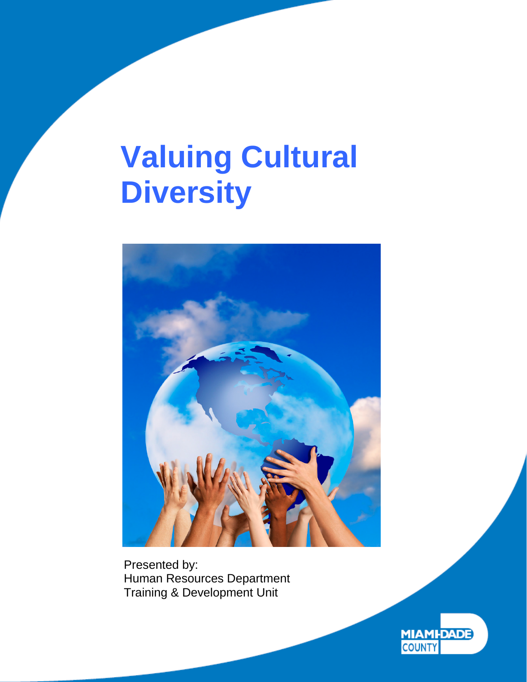

Presented by: Human Resources Department Training & Development Unit

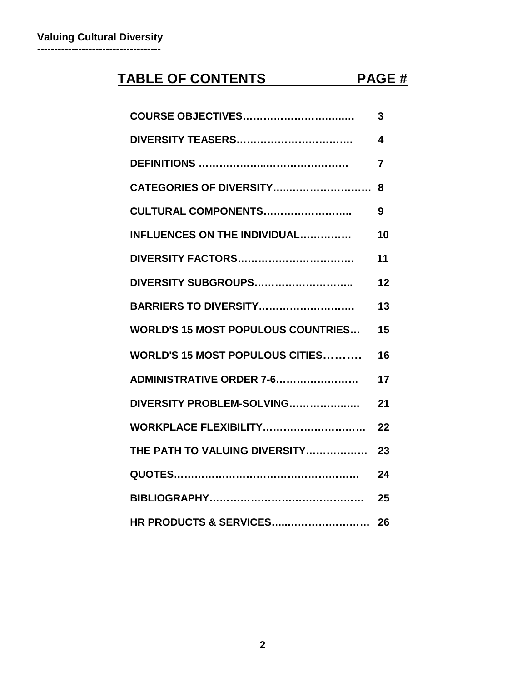# **TABLE OF CONTENTS PAGE #**

| <b>COURSE OBJECTIVES</b>                  | 3  |
|-------------------------------------------|----|
|                                           | 4  |
|                                           | 7  |
| CATEGORIES OF DIVERSITY                   | 8  |
| CULTURAL COMPONENTS                       | 9  |
| <b>INFLUENCES ON THE INDIVIDUAL</b>       | 10 |
| <b>DIVERSITY FACTORS</b>                  | 11 |
| DIVERSITY SUBGROUPS                       | 12 |
| <b>BARRIERS TO DIVERSITY</b>              | 13 |
| <b>WORLD'S 15 MOST POPULOUS COUNTRIES</b> | 15 |
| <b>WORLD'S 15 MOST POPULOUS CITIES</b>    | 16 |
| <b>ADMINISTRATIVE ORDER 7-6</b>           | 17 |
| DIVERSITY PROBLEM-SOLVING                 | 21 |
| WORKPLACE FLEXIBILITY                     | 22 |
| THE PATH TO VALUING DIVERSITY             | 23 |
|                                           | 24 |
|                                           | 25 |
| HR PRODUCTS & SERVICES                    | 26 |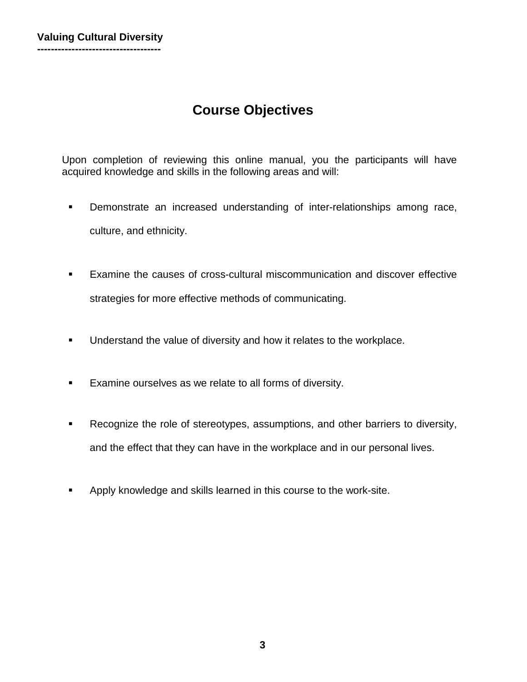# **Course Objectives**

Upon completion of reviewing this online manual, you the participants will have acquired knowledge and skills in the following areas and will:

- **Demonstrate an increased understanding of inter-relationships among race,** culture, and ethnicity.
- Examine the causes of cross-cultural miscommunication and discover effective strategies for more effective methods of communicating.
- **Understand the value of diversity and how it relates to the workplace.**
- **Examine ourselves as we relate to all forms of diversity.**
- **Recognize the role of stereotypes, assumptions, and other barriers to diversity,** and the effect that they can have in the workplace and in our personal lives.
- **Apply knowledge and skills learned in this course to the work-site.**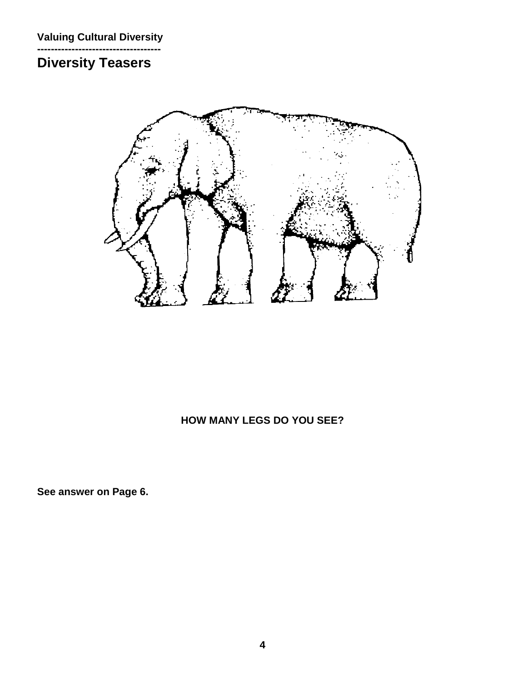#### **------------------------------------ Diversity Teasers**



### **HOW MANY LEGS DO YOU SEE?**

**See answer on Page 6.**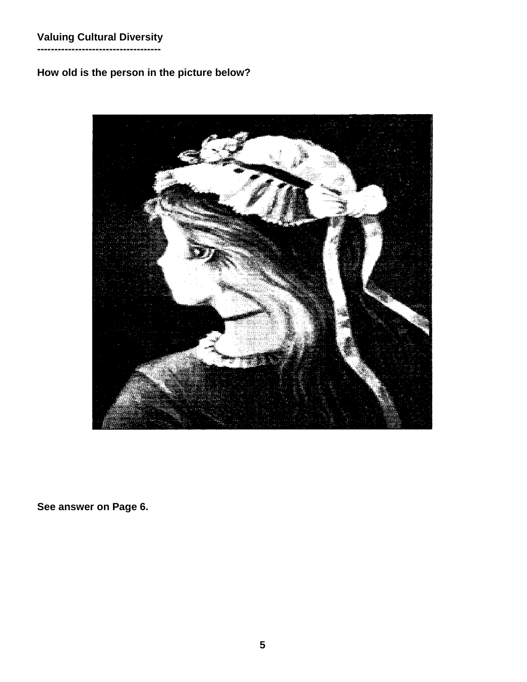**------------------------------------**

### **How old is the person in the picture below?**



**See answer on Page 6.**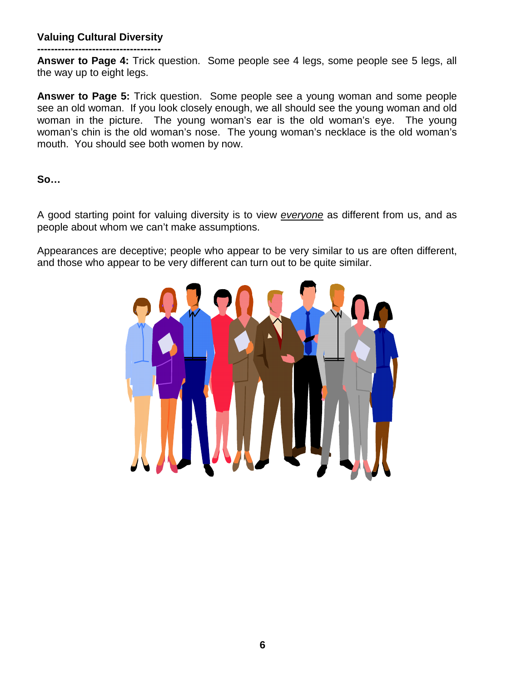**------------------------------------ Answer to Page 4:** Trick question. Some people see 4 legs, some people see 5 legs, all the way up to eight legs.

**Answer to Page 5:** Trick question. Some people see a young woman and some people see an old woman. If you look closely enough, we all should see the young woman and old woman in the picture. The young woman's ear is the old woman's eye. The young woman's chin is the old woman's nose. The young woman's necklace is the old woman's mouth. You should see both women by now.

**So…**

A good starting point for valuing diversity is to view *everyone* as different from us, and as people about whom we can't make assumptions.

Appearances are deceptive; people who appear to be very similar to us are often different, and those who appear to be very different can turn out to be quite similar.

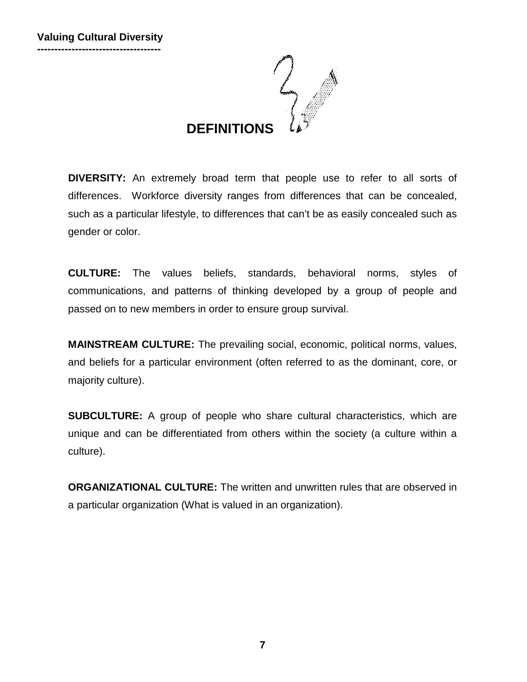

**DIVERSITY:** An extremely broad term that people use to refer to all sorts of differences. Workforce diversity ranges from differences that can be concealed, such as a particular lifestyle, to differences that can't be as easily concealed such as gender or color.

**CULTURE:** The values beliefs, standards, behavioral norms, styles of communications, and patterns of thinking developed by a group of people and passed on to new members in order to ensure group survival.

**MAINSTREAM CULTURE:** The prevailing social, economic, political norms, values, and beliefs for a particular environment (often referred to as the dominant, core, or majority culture).

**SUBCULTURE:** A group of people who share cultural characteristics, which are unique and can be differentiated from others within the society (a culture within a culture).

**ORGANIZATIONAL CULTURE:** The written and unwritten rules that are observed in a particular organization (What is valued in an organization).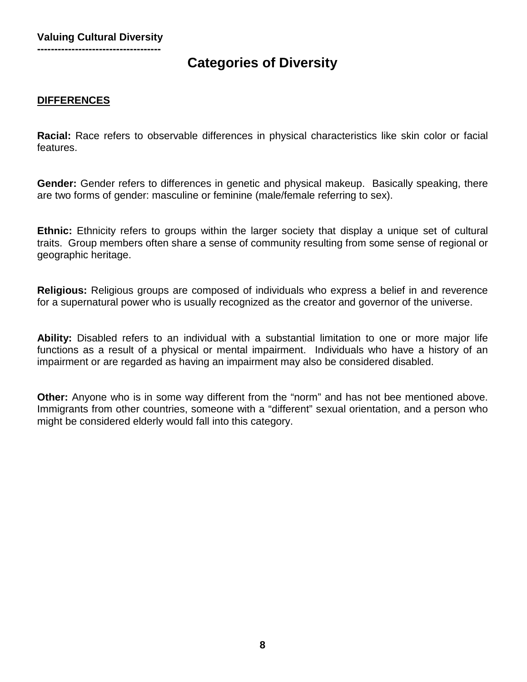# **Categories of Diversity**

#### **DIFFERENCES**

**Racial:** Race refers to observable differences in physical characteristics like skin color or facial features.

**Gender:** Gender refers to differences in genetic and physical makeup. Basically speaking, there are two forms of gender: masculine or feminine (male/female referring to sex).

**Ethnic:** Ethnicity refers to groups within the larger society that display a unique set of cultural traits. Group members often share a sense of community resulting from some sense of regional or geographic heritage.

**Religious:** Religious groups are composed of individuals who express a belief in and reverence for a supernatural power who is usually recognized as the creator and governor of the universe.

**Ability:** Disabled refers to an individual with a substantial limitation to one or more major life functions as a result of a physical or mental impairment. Individuals who have a history of an impairment or are regarded as having an impairment may also be considered disabled.

**Other:** Anyone who is in some way different from the "norm" and has not bee mentioned above. Immigrants from other countries, someone with a "different" sexual orientation, and a person who might be considered elderly would fall into this category.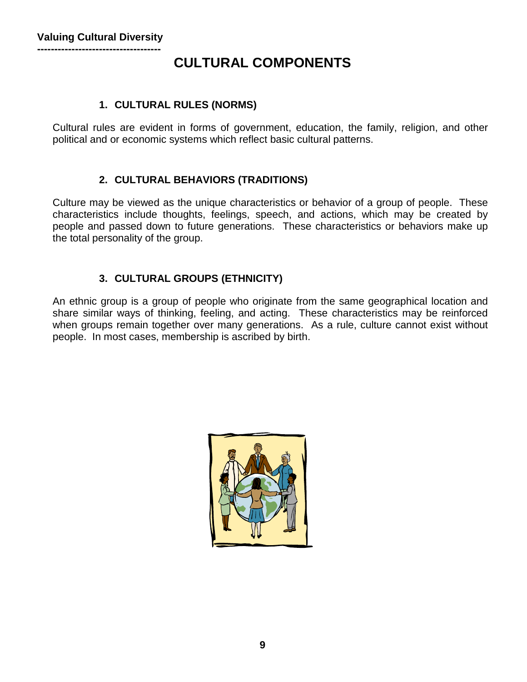# **CULTURAL COMPONENTS**

#### **1. CULTURAL RULES (NORMS)**

Cultural rules are evident in forms of government, education, the family, religion, and other political and or economic systems which reflect basic cultural patterns.

#### **2. CULTURAL BEHAVIORS (TRADITIONS)**

Culture may be viewed as the unique characteristics or behavior of a group of people. These characteristics include thoughts, feelings, speech, and actions, which may be created by people and passed down to future generations. These characteristics or behaviors make up the total personality of the group.

### **3. CULTURAL GROUPS (ETHNICITY)**

An ethnic group is a group of people who originate from the same geographical location and share similar ways of thinking, feeling, and acting. These characteristics may be reinforced when groups remain together over many generations. As a rule, culture cannot exist without people. In most cases, membership is ascribed by birth.

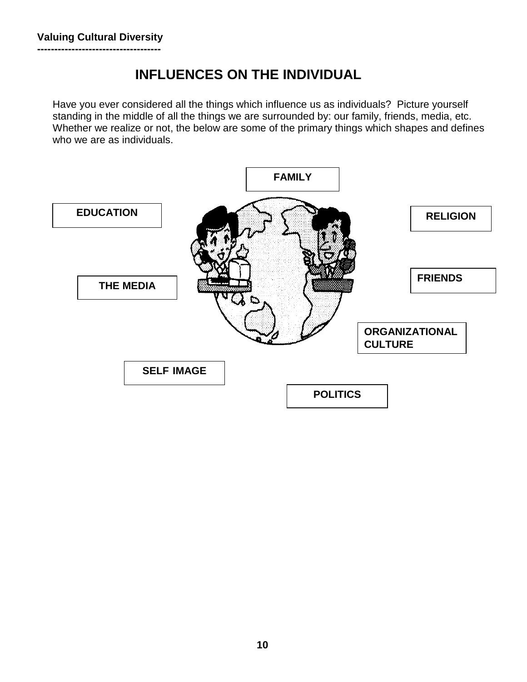# **INFLUENCES ON THE INDIVIDUAL**

Have you ever considered all the things which influence us as individuals? Picture yourself standing in the middle of all the things we are surrounded by: our family, friends, media, etc. Whether we realize or not, the below are some of the primary things which shapes and defines who we are as individuals.

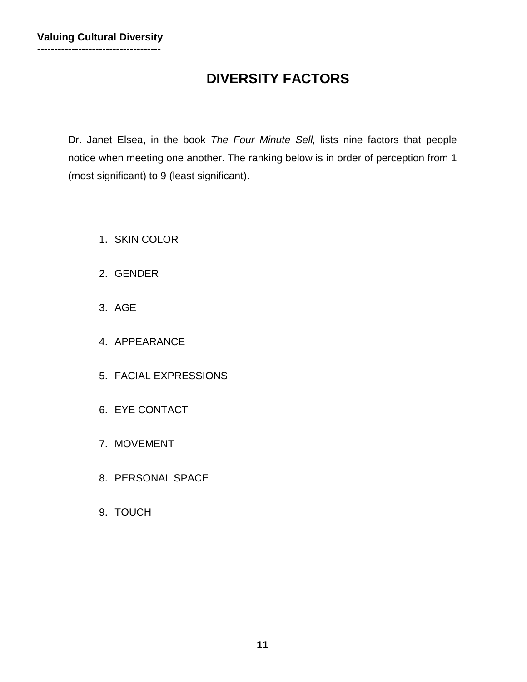# **DIVERSITY FACTORS**

Dr. Janet Elsea, in the book *The Four Minute Sell,* lists nine factors that people notice when meeting one another. The ranking below is in order of perception from 1 (most significant) to 9 (least significant).

- 1. SKIN COLOR
- 2. GENDER
- 3. AGE
- 4. APPEARANCE
- 5. FACIAL EXPRESSIONS
- 6. EYE CONTACT
- 7. MOVEMENT
- 8. PERSONAL SPACE
- 9. TOUCH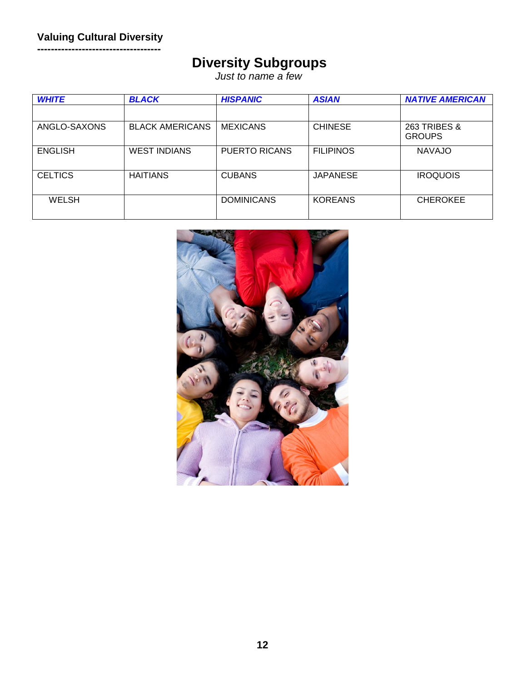**------------------------------------**

# **Diversity Subgroups**

*Just to name a few*

| <b>WHITE</b>   | <b>BLACK</b>           | <b>HISPANIC</b>      | <b>ASIAN</b>     | <b>NATIVE AMERICAN</b>                   |
|----------------|------------------------|----------------------|------------------|------------------------------------------|
|                |                        |                      |                  |                                          |
| ANGLO-SAXONS   | <b>BLACK AMERICANS</b> | <b>MEXICANS</b>      | <b>CHINESE</b>   | <b>263 TRIBES &amp;</b><br><b>GROUPS</b> |
| <b>ENGLISH</b> | <b>WEST INDIANS</b>    | <b>PUERTO RICANS</b> | <b>FILIPINOS</b> | <b>NAVAJO</b>                            |
| <b>CELTICS</b> | <b>HAITIANS</b>        | <b>CUBANS</b>        | <b>JAPANESE</b>  | <b>IROQUOIS</b>                          |
| <b>WELSH</b>   |                        | <b>DOMINICANS</b>    | <b>KOREANS</b>   | <b>CHEROKEE</b>                          |

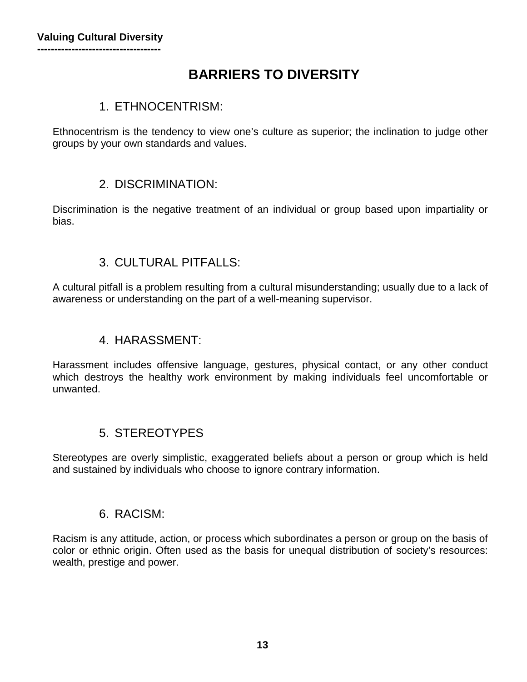# **BARRIERS TO DIVERSITY**

### 1. ETHNOCENTRISM:

Ethnocentrism is the tendency to view one's culture as superior; the inclination to judge other groups by your own standards and values.

### 2. DISCRIMINATION:

Discrimination is the negative treatment of an individual or group based upon impartiality or bias.

### 3. CULTURAL PITFALLS:

A cultural pitfall is a problem resulting from a cultural misunderstanding; usually due to a lack of awareness or understanding on the part of a well-meaning supervisor.

### 4. HARASSMENT:

Harassment includes offensive language, gestures, physical contact, or any other conduct which destroys the healthy work environment by making individuals feel uncomfortable or unwanted.

### 5. STEREOTYPES

Stereotypes are overly simplistic, exaggerated beliefs about a person or group which is held and sustained by individuals who choose to ignore contrary information.

### 6. RACISM:

Racism is any attitude, action, or process which subordinates a person or group on the basis of color or ethnic origin. Often used as the basis for unequal distribution of society's resources: wealth, prestige and power.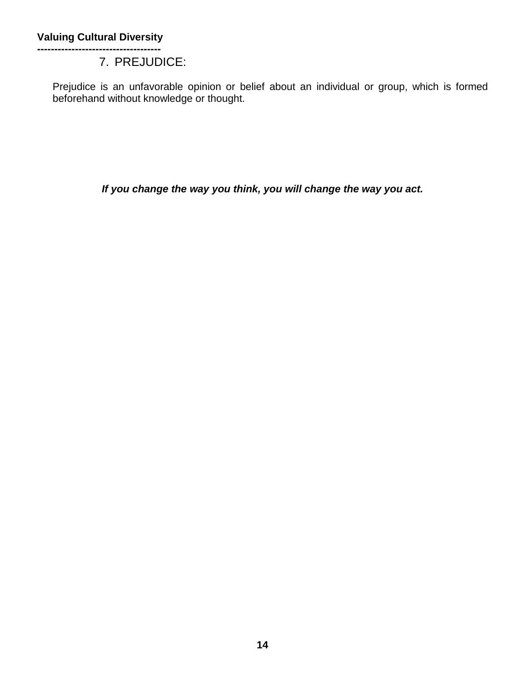#### **------------------------------------** 7. PREJUDICE:

Prejudice is an unfavorable opinion or belief about an individual or group, which is formed beforehand without knowledge or thought.

*If you change the way you think, you will change the way you act.*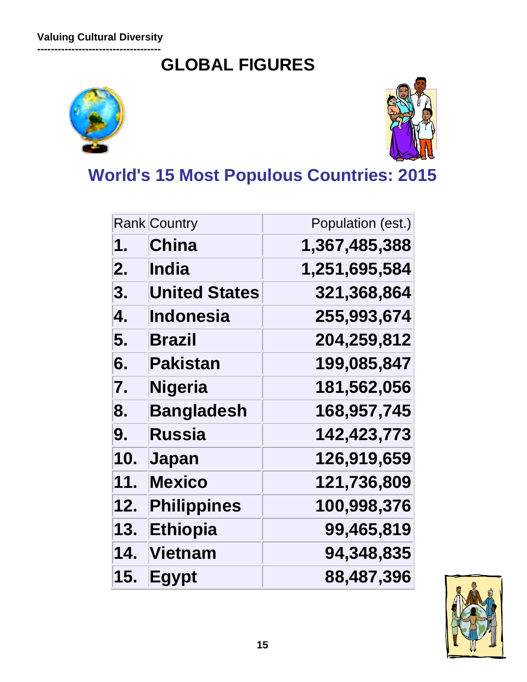**------------------------------------ GLOBAL FIGURES**





**World's 15 Most Populous Countries: 2015**

|     | <b>Rank Country</b>  | Population (est.) |
|-----|----------------------|-------------------|
| 1.  | <b>China</b>         | 1,367,485,388     |
| 2.  | India                | 1,251,695,584     |
| 3.  | <b>United States</b> | 321,368,864       |
| 4.  | <b>Indonesia</b>     | 255,993,674       |
| 5.  | <b>Brazil</b>        | 204,259,812       |
| 6.  | Pakistan             | 199,085,847       |
| 7.  | <b>Nigeria</b>       | 181,562,056       |
| 8.  | <b>Bangladesh</b>    | 168,957,745       |
| 9.  | Russia               | 142,423,773       |
| 10. | Japan                | 126,919,659       |
| 11. | <b>Mexico</b>        | 121,736,809       |
| 12. | <b>Philippines</b>   | 100,998,376       |
| 13. | <b>Ethiopia</b>      | 99,465,819        |
| 14. | Vietnam              | 94,348,835        |
| 15. | <b>Egypt</b>         | 88,487,396        |

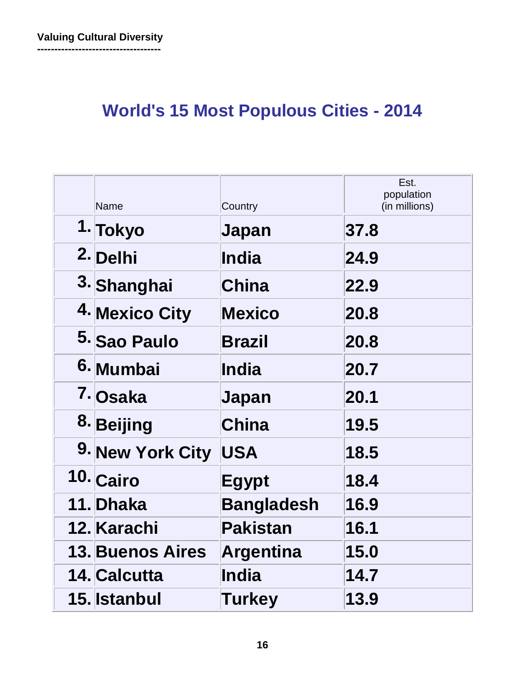# **World's 15 Most Populous Cities - 2014**

| <b>Name</b>             | Country           | Est.<br>population<br>(in millions) |
|-------------------------|-------------------|-------------------------------------|
| 1. Tokyo                | Japan             | 37.8                                |
| 2. Delhi                | <b>India</b>      | 24.9                                |
| 3. Shanghai             | <b>China</b>      | 22.9                                |
| 4. Mexico City          | <b>Mexico</b>     | 20.8                                |
| 5. Sao Paulo            | <b>Brazil</b>     | 20.8                                |
| 6. Mumbai               | <b>India</b>      | 20.7                                |
| 7. Osaka                | Japan             | 20.1                                |
| 8. Beijing              | <b>China</b>      | 19.5                                |
| 9. New York City        | <b>USA</b>        | 18.5                                |
| 10. Cairo               | <b>Egypt</b>      | 18.4                                |
| 11. Dhaka               | <b>Bangladesh</b> | 16.9                                |
| 12. Karachi             | <b>Pakistan</b>   | 16.1                                |
| <b>13. Buenos Aires</b> | <b>Argentina</b>  | 15.0                                |
| 14. Calcutta            | <b>India</b>      | 14.7                                |
| 15. Istanbul            | Turkey            | 13.9                                |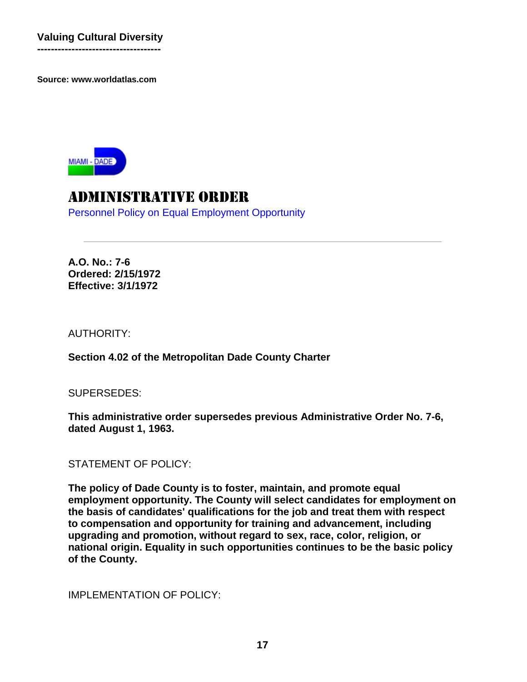**------------------------------------**

**Source: www.worldatlas.com**



# Administrative Order

Personnel Policy on Equal Employment Opportunity

**A.O. No.: 7-6 Ordered: 2/15/1972 Effective: 3/1/1972**

AUTHORITY:

**Section 4.02 of the Metropolitan Dade County Charter**

SUPERSEDES:

**This administrative order supersedes previous Administrative Order No. 7-6, dated August 1, 1963.**

STATEMENT OF POLICY:

**The policy of Dade County is to foster, maintain, and promote equal employment opportunity. The County will select candidates for employment on the basis of candidates' qualifications for the job and treat them with respect to compensation and opportunity for training and advancement, including upgrading and promotion, without regard to sex, race, color, religion, or national origin. Equality in such opportunities continues to be the basic policy of the County.**

IMPLEMENTATION OF POLICY: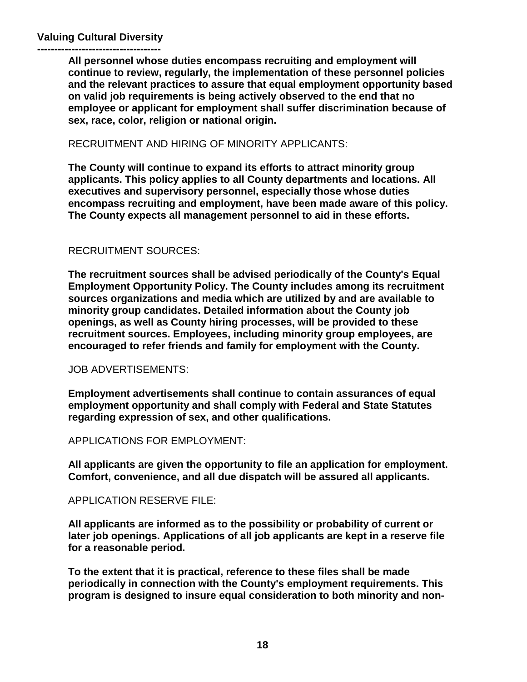**------------------------------------ All personnel whose duties encompass recruiting and employment will continue to review, regularly, the implementation of these personnel policies and the relevant practices to assure that equal employment opportunity based on valid job requirements is being actively observed to the end that no employee or applicant for employment shall suffer discrimination because of sex, race, color, religion or national origin.**

#### RECRUITMENT AND HIRING OF MINORITY APPLICANTS:

**The County will continue to expand its efforts to attract minority group applicants. This policy applies to all County departments and locations. All executives and supervisory personnel, especially those whose duties encompass recruiting and employment, have been made aware of this policy. The County expects all management personnel to aid in these efforts.**

#### RECRUITMENT SOURCES:

**The recruitment sources shall be advised periodically of the County's Equal Employment Opportunity Policy. The County includes among its recruitment sources organizations and media which are utilized by and are available to minority group candidates. Detailed information about the County job openings, as well as County hiring processes, will be provided to these recruitment sources. Employees, including minority group employees, are encouraged to refer friends and family for employment with the County.**

#### JOB ADVERTISEMENTS:

**Employment advertisements shall continue to contain assurances of equal employment opportunity and shall comply with Federal and State Statutes regarding expression of sex, and other qualifications.**

APPLICATIONS FOR EMPLOYMENT:

**All applicants are given the opportunity to file an application for employment. Comfort, convenience, and all due dispatch will be assured all applicants.**

#### APPLICATION RESERVE FILE:

**All applicants are informed as to the possibility or probability of current or later job openings. Applications of all job applicants are kept in a reserve file for a reasonable period.**

**To the extent that it is practical, reference to these files shall be made periodically in connection with the County's employment requirements. This program is designed to insure equal consideration to both minority and non-**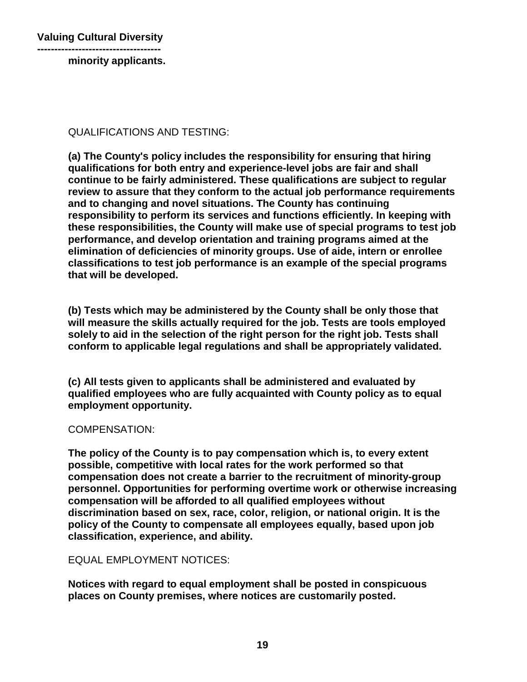**----------------------------------- minority applicants.**

QUALIFICATIONS AND TESTING:

**(a) The County's policy includes the responsibility for ensuring that hiring qualifications for both entry and experience-level jobs are fair and shall continue to be fairly administered. These qualifications are subject to regular review to assure that they conform to the actual job performance requirements and to changing and novel situations. The County has continuing responsibility to perform its services and functions efficiently. In keeping with these responsibilities, the County will make use of special programs to test job performance, and develop orientation and training programs aimed at the elimination of deficiencies of minority groups. Use of aide, intern or enrollee classifications to test job performance is an example of the special programs that will be developed.**

**(b) Tests which may be administered by the County shall be only those that will measure the skills actually required for the job. Tests are tools employed solely to aid in the selection of the right person for the right job. Tests shall conform to applicable legal regulations and shall be appropriately validated.**

**(c) All tests given to applicants shall be administered and evaluated by qualified employees who are fully acquainted with County policy as to equal employment opportunity.**

#### COMPENSATION:

**The policy of the County is to pay compensation which is, to every extent possible, competitive with local rates for the work performed so that compensation does not create a barrier to the recruitment of minority-group personnel. Opportunities for performing overtime work or otherwise increasing compensation will be afforded to all qualified employees without discrimination based on sex, race, color, religion, or national origin. It is the policy of the County to compensate all employees equally, based upon job classification, experience, and ability.**

EQUAL EMPLOYMENT NOTICES:

**Notices with regard to equal employment shall be posted in conspicuous places on County premises, where notices are customarily posted.**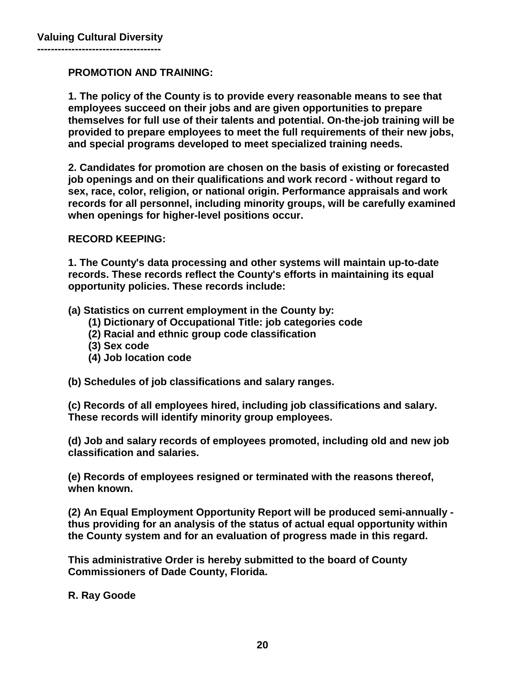#### **PROMOTION AND TRAINING:**

**1. The policy of the County is to provide every reasonable means to see that employees succeed on their jobs and are given opportunities to prepare themselves for full use of their talents and potential. On-the-job training will be provided to prepare employees to meet the full requirements of their new jobs, and special programs developed to meet specialized training needs.**

**2. Candidates for promotion are chosen on the basis of existing or forecasted job openings and on their qualifications and work record - without regard to sex, race, color, religion, or national origin. Performance appraisals and work records for all personnel, including minority groups, will be carefully examined when openings for higher-level positions occur.**

#### **RECORD KEEPING:**

**1. The County's data processing and other systems will maintain up-to-date records. These records reflect the County's efforts in maintaining its equal opportunity policies. These records include:**

**(a) Statistics on current employment in the County by:**

- **(1) Dictionary of Occupational Title: job categories code**
- **(2) Racial and ethnic group code classification**
- **(3) Sex code**
- **(4) Job location code**
- **(b) Schedules of job classifications and salary ranges.**

**(c) Records of all employees hired, including job classifications and salary. These records will identify minority group employees.**

**(d) Job and salary records of employees promoted, including old and new job classification and salaries.**

**(e) Records of employees resigned or terminated with the reasons thereof, when known.**

**(2) An Equal Employment Opportunity Report will be produced semi-annually thus providing for an analysis of the status of actual equal opportunity within the County system and for an evaluation of progress made in this regard.**

**This administrative Order is hereby submitted to the board of County Commissioners of Dade County, Florida.**

**R. Ray Goode**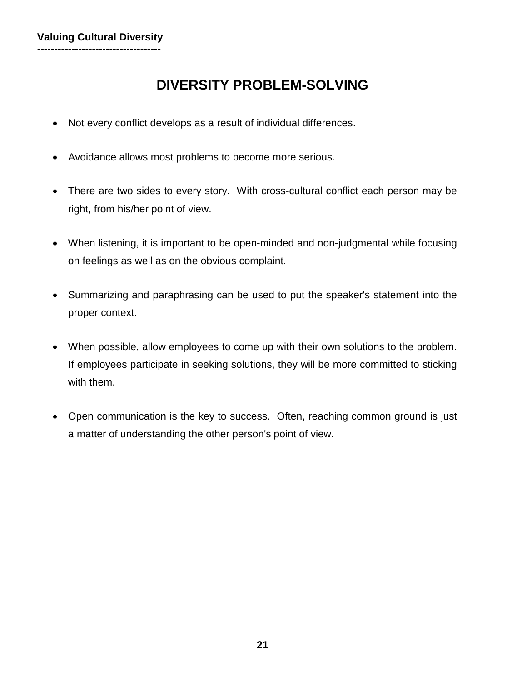# **DIVERSITY PROBLEM-SOLVING**

- Not every conflict develops as a result of individual differences.
- Avoidance allows most problems to become more serious.
- There are two sides to every story. With cross-cultural conflict each person may be right, from his/her point of view.
- When listening, it is important to be open-minded and non-judgmental while focusing on feelings as well as on the obvious complaint.
- Summarizing and paraphrasing can be used to put the speaker's statement into the proper context.
- When possible, allow employees to come up with their own solutions to the problem. If employees participate in seeking solutions, they will be more committed to sticking with them.
- Open communication is the key to success. Often, reaching common ground is just a matter of understanding the other person's point of view.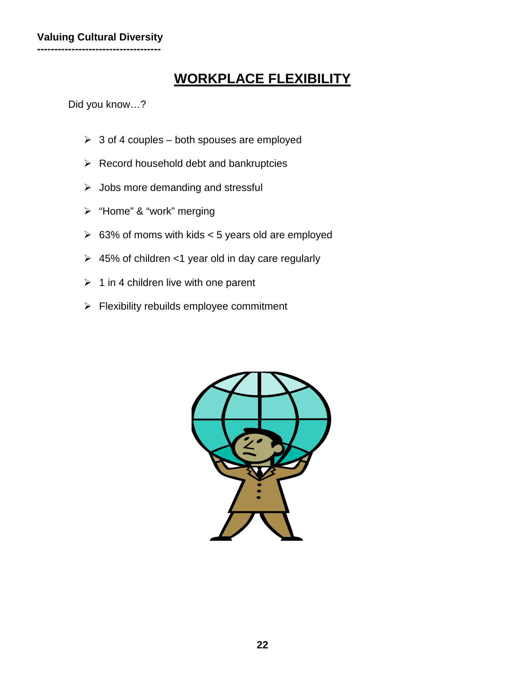# **WORKPLACE FLEXIBILITY**

Did you know…?

- $\geq 3$  of 4 couples both spouses are employed
- $\triangleright$  Record household debt and bankruptcies
- $\triangleright$  Jobs more demanding and stressful
- > "Home" & "work" merging
- $\geq$  63% of moms with kids < 5 years old are employed
- $\geq 45\%$  of children <1 year old in day care regularly
- $\geq 1$  in 4 children live with one parent
- $\triangleright$  Flexibility rebuilds employee commitment

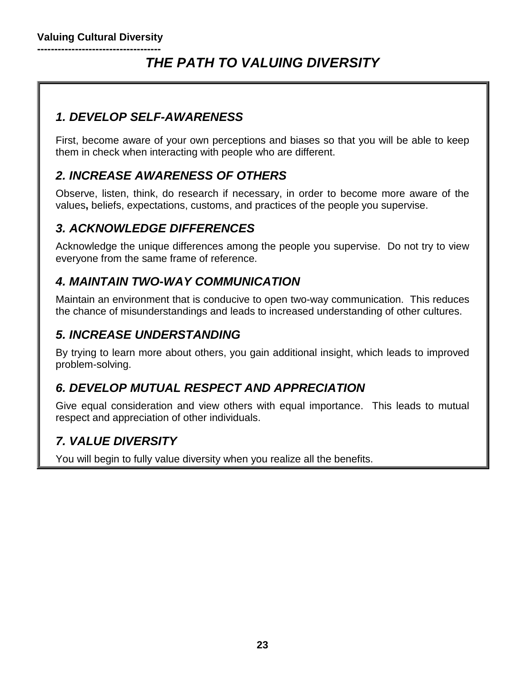#### **------------------------------------** *THE PATH TO VALUING DIVERSITY*

# *1. DEVELOP SELF-AWARENESS*

First, become aware of your own perceptions and biases so that you will be able to keep them in check when interacting with people who are different.

## *2. INCREASE AWARENESS OF OTHERS*

Observe, listen, think, do research if necessary, in order to become more aware of the values**,** beliefs, expectations, customs, and practices of the people you supervise.

# *3. ACKNOWLEDGE DIFFERENCES*

Acknowledge the unique differences among the people you supervise. Do not try to view everyone from the same frame of reference.

### *4. MAINTAIN TWO-WAY COMMUNICATION*

Maintain an environment that is conducive to open two-way communication. This reduces the chance of misunderstandings and leads to increased understanding of other cultures.

### *5. INCREASE UNDERSTANDING*

By trying to learn more about others, you gain additional insight, which leads to improved problem-solving.

## *6. DEVELOP MUTUAL RESPECT AND APPRECIATION*

Give equal consideration and view others with equal importance. This leads to mutual respect and appreciation of other individuals.

## *7. VALUE DIVERSITY*

You will begin to fully value diversity when you realize all the benefits.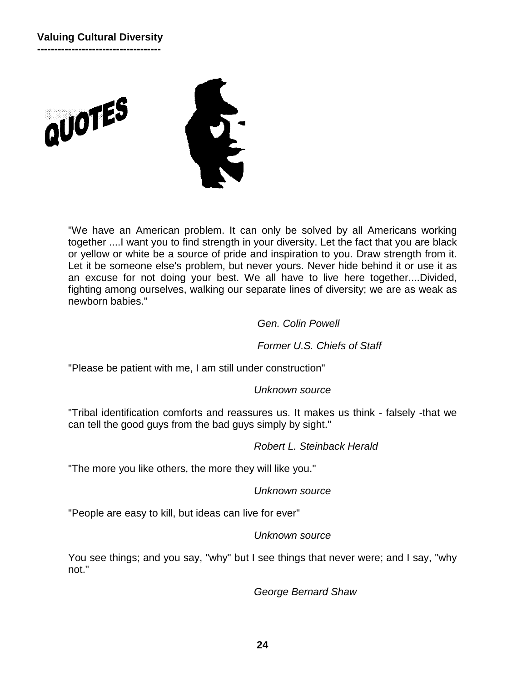





"We have an American problem. It can only be solved by all Americans working together ....I want you to find strength in your diversity. Let the fact that you are black or yellow or white be a source of pride and inspiration to you. Draw strength from it. Let it be someone else's problem, but never yours. Never hide behind it or use it as an excuse for not doing your best. We all have to live here together....Divided, fighting among ourselves, walking our separate lines of diversity; we are as weak as newborn babies."

#### *Gen. Colin Powell*

*Former U.S. Chiefs of Staff*

"Please be patient with me, I am still under construction"

#### *Unknown source*

"Tribal identification comforts and reassures us. It makes us think - falsely -that we can tell the good guys from the bad guys simply by sight."

#### *Robert L. Steinback Herald*

"The more you like others, the more they will like you."

#### *Unknown source*

"People are easy to kill, but ideas can live for ever"

#### *Unknown source*

You see things; and you say, "why" but I see things that never were; and I say, "why not."

*George Bernard Shaw*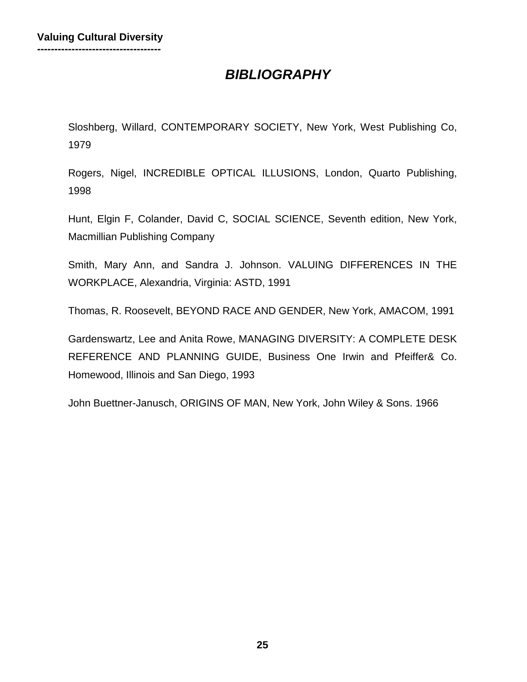# *BIBLIOGRAPHY*

Sloshberg, Willard, CONTEMPORARY SOCIETY, New York, West Publishing Co, 1979

Rogers, Nigel, INCREDIBLE OPTICAL ILLUSIONS, London, Quarto Publishing, 1998

Hunt, Elgin F, Colander, David C, SOCIAL SCIENCE, Seventh edition, New York, Macmillian Publishing Company

Smith, Mary Ann, and Sandra J. Johnson. VALUING DIFFERENCES IN THE WORKPLACE, Alexandria, Virginia: ASTD, 1991

Thomas, R. Roosevelt, BEYOND RACE AND GENDER, New York, AMACOM, 1991

Gardenswartz, Lee and Anita Rowe, MANAGING DIVERSITY: A COMPLETE DESK REFERENCE AND PLANNING GUIDE, Business One Irwin and Pfeiffer& Co. Homewood, Illinois and San Diego, 1993

John Buettner-Janusch, ORIGINS OF MAN, New York, John Wiley & Sons. 1966